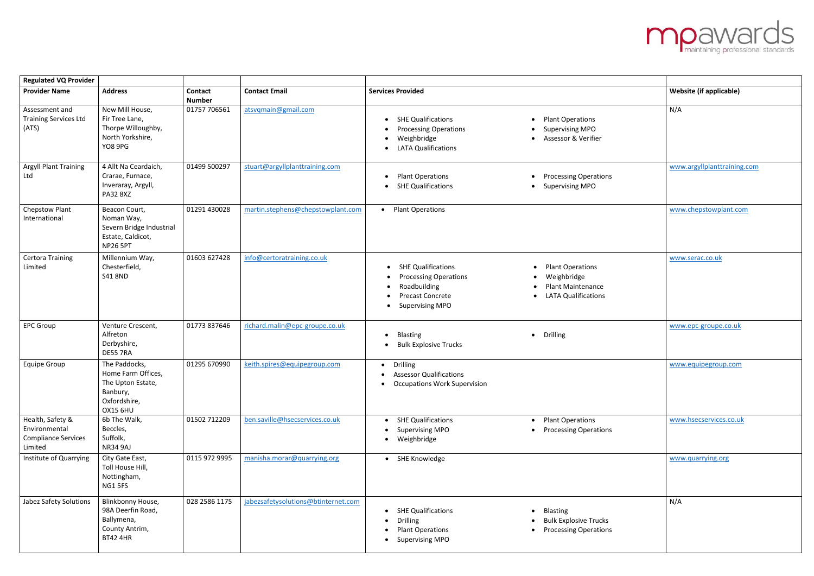| <b>Regulated VQ Provider</b>                                               |                                                                                                         |                                 |                                     |                                                                                                                                             |                                                                                                                            |                                |
|----------------------------------------------------------------------------|---------------------------------------------------------------------------------------------------------|---------------------------------|-------------------------------------|---------------------------------------------------------------------------------------------------------------------------------------------|----------------------------------------------------------------------------------------------------------------------------|--------------------------------|
| <b>Provider Name</b>                                                       | <b>Address</b>                                                                                          | <b>Contact</b><br><b>Number</b> | <b>Contact Email</b>                | <b>Services Provided</b>                                                                                                                    |                                                                                                                            | <b>Website (if applicable)</b> |
| Assessment and<br><b>Training Services Ltd</b><br>(ATS)                    | New Mill House,<br>Fir Tree Lane,<br>Thorpe Willoughby,<br>North Yorkshire,<br>YO8 9PG                  | 01757 706561                    | atsvqmain@gmail.com                 | • SHE Qualifications<br><b>Processing Operations</b><br>$\bullet$<br>Weighbridge<br>٠<br><b>LATA Qualifications</b><br>$\bullet$            | • Plant Operations<br><b>Supervising MPO</b><br>$\bullet$<br>Assessor & Verifier<br>$\bullet$                              | N/A                            |
| <b>Argyll Plant Training</b><br>Ltd                                        | 4 Allt Na Ceardaich,<br>Crarae, Furnace,<br>Inveraray, Argyll,<br><b>PA32 8XZ</b>                       | 01499 500297                    | stuart@argyllplanttraining.com      | <b>Plant Operations</b><br>$\bullet$<br>• SHE Qualifications                                                                                | <b>Processing Operations</b><br>$\bullet$<br>• Supervising MPO                                                             | www.argyllplanttraining.com    |
| <b>Chepstow Plant</b><br>International                                     | Beacon Court,<br>Noman Way,<br>Severn Bridge Industrial<br>Estate, Caldicot,<br><b>NP26 5PT</b>         | 01291 430028                    | martin.stephens@chepstowplant.com   | • Plant Operations                                                                                                                          |                                                                                                                            | www.chepstowplant.com          |
| <b>Certora Training</b><br>Limited                                         | Millennium Way,<br>Chesterfield,<br><b>S41 8ND</b>                                                      | 01603 627428                    | info@certoratraining.co.uk          | <b>SHE Qualifications</b><br><b>Processing Operations</b><br>Roadbuilding<br><b>Precast Concrete</b><br><b>Supervising MPO</b><br>$\bullet$ | <b>Plant Operations</b><br>Weighbridge<br>$\bullet$<br><b>Plant Maintenance</b><br><b>LATA Qualifications</b><br>$\bullet$ | www.serac.co.uk                |
| <b>EPC Group</b>                                                           | Venture Crescent,<br>Alfreton<br>Derbyshire,<br><b>DE55 7RA</b>                                         | 01773 837646                    | richard.malin@epc-groupe.co.uk      | <b>Blasting</b><br>$\bullet$<br><b>Bulk Explosive Trucks</b><br>$\bullet$                                                                   | Drilling<br>$\bullet$                                                                                                      | www.epc-groupe.co.uk           |
| <b>Equipe Group</b>                                                        | The Paddocks,<br>Home Farm Offices,<br>The Upton Estate,<br>Banbury,<br>Oxfordshire,<br><b>OX15 6HU</b> | 01295 670990                    | keith.spires@equipegroup.com        | • Drilling<br>• Assessor Qualifications<br><b>Occupations Work Supervision</b>                                                              |                                                                                                                            | www.equipegroup.com            |
| Health, Safety &<br>Environmental<br><b>Compliance Services</b><br>Limited | 6b The Walk,<br>Beccles,<br>Suffolk,<br><b>NR34 9AJ</b>                                                 | 01502 712209                    | ben.saville@hsecservices.co.uk      | • SHE Qualifications<br><b>Supervising MPO</b><br>• Weighbridge                                                                             | • Plant Operations<br><b>Processing Operations</b><br>$\bullet$                                                            | www.hsecservices.co.uk         |
| Institute of Quarrying                                                     | City Gate East,<br>Toll House Hill,<br>Nottingham,<br>NG1 5FS                                           | 0115 972 9995                   | manisha.morar@quarrying.org         | • SHE Knowledge                                                                                                                             |                                                                                                                            | www.quarrying.org              |
| <b>Jabez Safety Solutions</b>                                              | Blinkbonny House,<br>98A Deerfin Road,<br>Ballymena,<br>County Antrim,<br><b>BT42 4HR</b>               | 028 2586 1175                   | jabezsafetysolutions@btinternet.com | • SHE Qualifications<br><b>Drilling</b><br>$\bullet$<br><b>Plant Operations</b><br>$\bullet$<br><b>Supervising MPO</b><br>$\bullet$         | <b>Blasting</b><br>$\bullet$<br><b>Bulk Explosive Trucks</b><br><b>Processing Operations</b><br>$\bullet$                  | N/A                            |

## **mpawards**